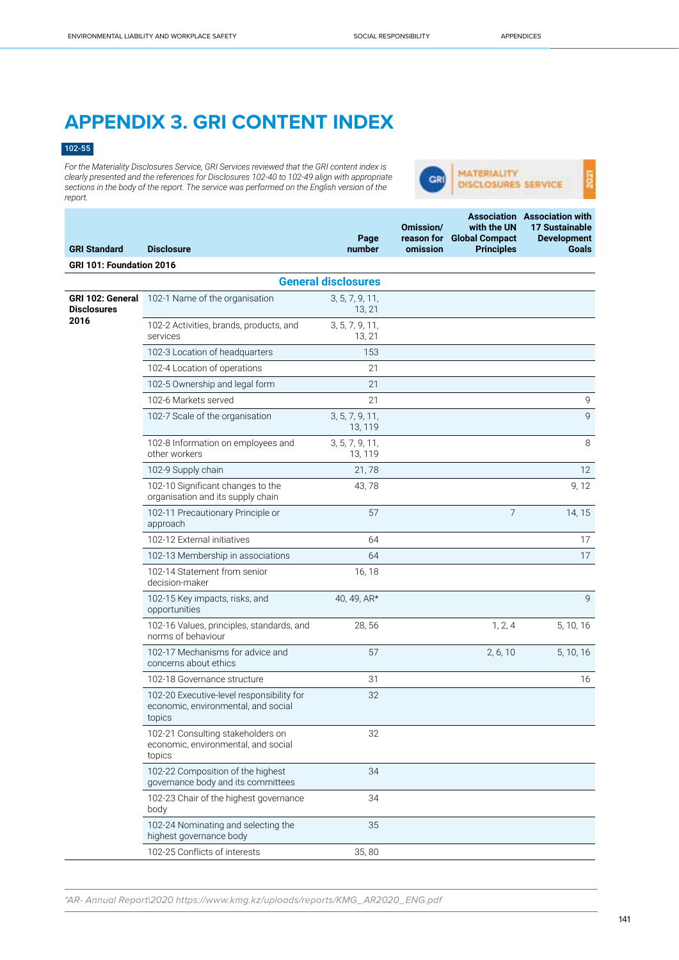## **APPENDIX 3. GRI CONTENT INDEX**

## 102-55

*For the Materiality Disclosures Service, GRI Services reviewed that the GRI content index is clearly presented and the references for Disclosures 102-40 to 102-49 align with appropriate sections in the body of the report. The service was performed on the English version of the report.*



| <b>GRI Standard</b>                            | <b>Disclosure</b>                                                                          | Page<br>number             | Omission/<br>omission | with the UN<br>reason for Global Compact<br><b>Principles</b> | <b>Association</b> Association with<br><b>17 Sustainable</b><br><b>Development</b><br><b>Goals</b> |
|------------------------------------------------|--------------------------------------------------------------------------------------------|----------------------------|-----------------------|---------------------------------------------------------------|----------------------------------------------------------------------------------------------------|
| GRI 101: Foundation 2016                       |                                                                                            |                            |                       |                                                               |                                                                                                    |
|                                                |                                                                                            |                            |                       |                                                               |                                                                                                    |
|                                                |                                                                                            | <b>General disclosures</b> |                       |                                                               |                                                                                                    |
| GRI 102: General<br><b>Disclosures</b><br>2016 | 102-1 Name of the organisation                                                             | 3, 5, 7, 9, 11,<br>13, 21  |                       |                                                               |                                                                                                    |
|                                                | 102-2 Activities, brands, products, and<br>services                                        | 3, 5, 7, 9, 11,<br>13, 21  |                       |                                                               |                                                                                                    |
|                                                | 102-3 Location of headquarters                                                             | 153                        |                       |                                                               |                                                                                                    |
|                                                | 102-4 Location of operations                                                               | 21                         |                       |                                                               |                                                                                                    |
|                                                | 102-5 Ownership and legal form                                                             | 21                         |                       |                                                               |                                                                                                    |
|                                                | 102-6 Markets served                                                                       | 21                         |                       |                                                               | 9                                                                                                  |
|                                                | 102-7 Scale of the organisation                                                            | 3, 5, 7, 9, 11,<br>13, 119 |                       |                                                               | 9                                                                                                  |
|                                                | 102-8 Information on employees and<br>other workers                                        | 3, 5, 7, 9, 11,<br>13, 119 |                       |                                                               | $\,8\,$                                                                                            |
|                                                | 102-9 Supply chain                                                                         | 21,78                      |                       |                                                               | 12                                                                                                 |
|                                                | 102-10 Significant changes to the<br>organisation and its supply chain                     | 43,78                      |                       |                                                               | 9, 12                                                                                              |
|                                                | 102-11 Precautionary Principle or<br>approach                                              | 57                         |                       | $\overline{7}$                                                | 14, 15                                                                                             |
|                                                | 102-12 External initiatives                                                                | 64                         |                       |                                                               | 17                                                                                                 |
|                                                | 102-13 Membership in associations                                                          | 64                         |                       |                                                               | 17                                                                                                 |
|                                                | 102-14 Statement from senior<br>decision-maker                                             | 16, 18                     |                       |                                                               |                                                                                                    |
|                                                | 102-15 Key impacts, risks, and<br>opportunities                                            | 40, 49, AR*                |                       |                                                               | 9                                                                                                  |
|                                                | 102-16 Values, principles, standards, and<br>norms of behaviour                            | 28,56                      |                       | 1, 2, 4                                                       | 5, 10, 16                                                                                          |
|                                                | 102-17 Mechanisms for advice and<br>concerns about ethics                                  | 57                         |                       | 2, 6, 10                                                      | 5, 10, 16                                                                                          |
|                                                | 102-18 Governance structure                                                                | 31                         |                       |                                                               | 16                                                                                                 |
|                                                | 102-20 Executive-level responsibility for<br>economic, environmental, and social<br>topics | 32                         |                       |                                                               |                                                                                                    |
|                                                | 102-21 Consulting stakeholders on<br>economic, environmental, and social<br>topics         | 32                         |                       |                                                               |                                                                                                    |
|                                                | 102-22 Composition of the highest<br>governance body and its committees                    | 34                         |                       |                                                               |                                                                                                    |
|                                                | 102-23 Chair of the highest governance<br>body                                             | 34                         |                       |                                                               |                                                                                                    |
|                                                | 102-24 Nominating and selecting the<br>highest governance body                             | 35                         |                       |                                                               |                                                                                                    |
|                                                | 102-25 Conflicts of interests                                                              | 35,80                      |                       |                                                               |                                                                                                    |

\*AR- Annual Report|2020 https://www.kmg.kz/uploads/reports/KMG\_AR2020\_ENG.pdf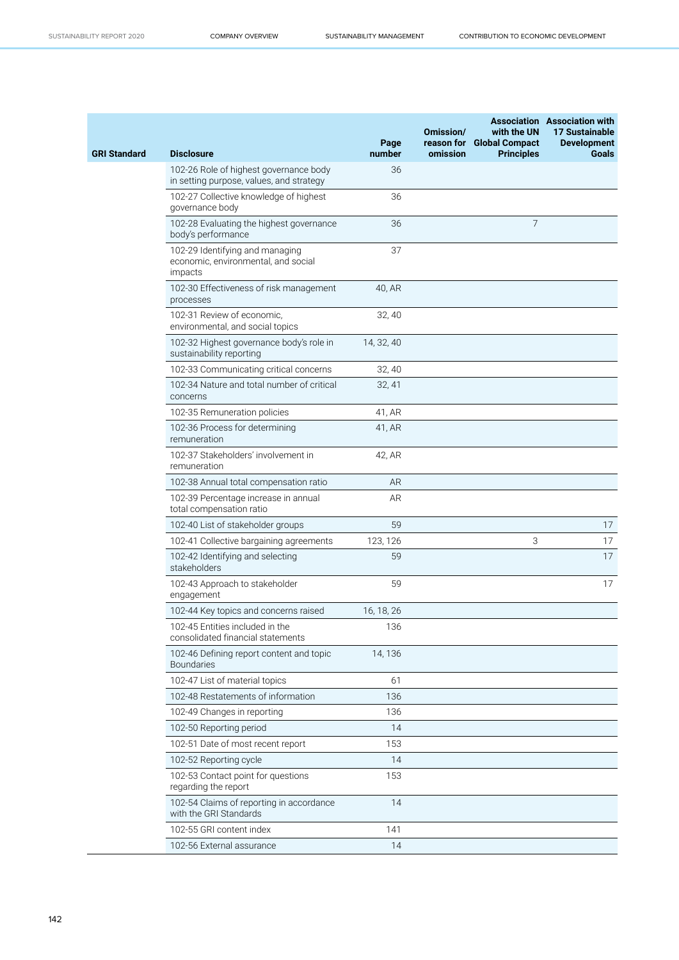| <b>GRI Standard</b> | <b>Disclosure</b>                                                                  | Page<br>number | Omission/<br>omission | with the UN<br>reason for Global Compact<br><b>Principles</b> | <b>Association</b> Association with<br><b>17 Sustainable</b><br><b>Development</b><br><b>Goals</b> |
|---------------------|------------------------------------------------------------------------------------|----------------|-----------------------|---------------------------------------------------------------|----------------------------------------------------------------------------------------------------|
|                     | 102-26 Role of highest governance body<br>in setting purpose, values, and strategy | 36             |                       |                                                               |                                                                                                    |
|                     | 102-27 Collective knowledge of highest<br>governance body                          | 36             |                       |                                                               |                                                                                                    |
|                     | 102-28 Evaluating the highest governance<br>body's performance                     | 36             |                       | 7                                                             |                                                                                                    |
|                     | 102-29 Identifying and managing<br>economic, environmental, and social<br>impacts  | 37             |                       |                                                               |                                                                                                    |
|                     | 102-30 Effectiveness of risk management<br>processes                               | 40, AR         |                       |                                                               |                                                                                                    |
|                     | 102-31 Review of economic,<br>environmental, and social topics                     | 32, 40         |                       |                                                               |                                                                                                    |
|                     | 102-32 Highest governance body's role in<br>sustainability reporting               | 14, 32, 40     |                       |                                                               |                                                                                                    |
|                     | 102-33 Communicating critical concerns                                             | 32, 40         |                       |                                                               |                                                                                                    |
|                     | 102-34 Nature and total number of critical<br>concerns                             | 32, 41         |                       |                                                               |                                                                                                    |
|                     | 102-35 Remuneration policies                                                       | 41, AR         |                       |                                                               |                                                                                                    |
|                     | 102-36 Process for determining<br>remuneration                                     | 41, AR         |                       |                                                               |                                                                                                    |
|                     | 102-37 Stakeholders' involvement in<br>remuneration                                | 42, AR         |                       |                                                               |                                                                                                    |
|                     | 102-38 Annual total compensation ratio                                             | AR             |                       |                                                               |                                                                                                    |
|                     | 102-39 Percentage increase in annual<br>total compensation ratio                   | <b>AR</b>      |                       |                                                               |                                                                                                    |
|                     | 102-40 List of stakeholder groups                                                  | 59             |                       |                                                               | 17                                                                                                 |
|                     | 102-41 Collective bargaining agreements                                            | 123, 126       |                       | 3                                                             | 17                                                                                                 |
|                     | 102-42 Identifying and selecting<br>stakeholders                                   | 59             |                       |                                                               | 17                                                                                                 |
|                     | 102-43 Approach to stakeholder<br>engagement                                       | 59             |                       |                                                               | 17                                                                                                 |
|                     | 102-44 Key topics and concerns raised                                              | 16, 18, 26     |                       |                                                               |                                                                                                    |
|                     | 102-45 Entities included in the<br>consolidated financial statements               | 136            |                       |                                                               |                                                                                                    |
|                     | 102-46 Defining report content and topic<br><b>Boundaries</b>                      | 14, 136        |                       |                                                               |                                                                                                    |
|                     | 102-47 List of material topics                                                     | 61             |                       |                                                               |                                                                                                    |
|                     | 102-48 Restatements of information                                                 | 136            |                       |                                                               |                                                                                                    |
|                     | 102-49 Changes in reporting                                                        | 136            |                       |                                                               |                                                                                                    |
|                     | 102-50 Reporting period                                                            | 14             |                       |                                                               |                                                                                                    |
|                     | 102-51 Date of most recent report                                                  | 153            |                       |                                                               |                                                                                                    |
|                     | 102-52 Reporting cycle                                                             | 14             |                       |                                                               |                                                                                                    |
|                     | 102-53 Contact point for questions<br>regarding the report                         | 153            |                       |                                                               |                                                                                                    |
|                     | 102-54 Claims of reporting in accordance<br>with the GRI Standards                 | 14             |                       |                                                               |                                                                                                    |
|                     | 102-55 GRI content index                                                           | 141            |                       |                                                               |                                                                                                    |
|                     | 102-56 External assurance                                                          | 14             |                       |                                                               |                                                                                                    |

 $\sim$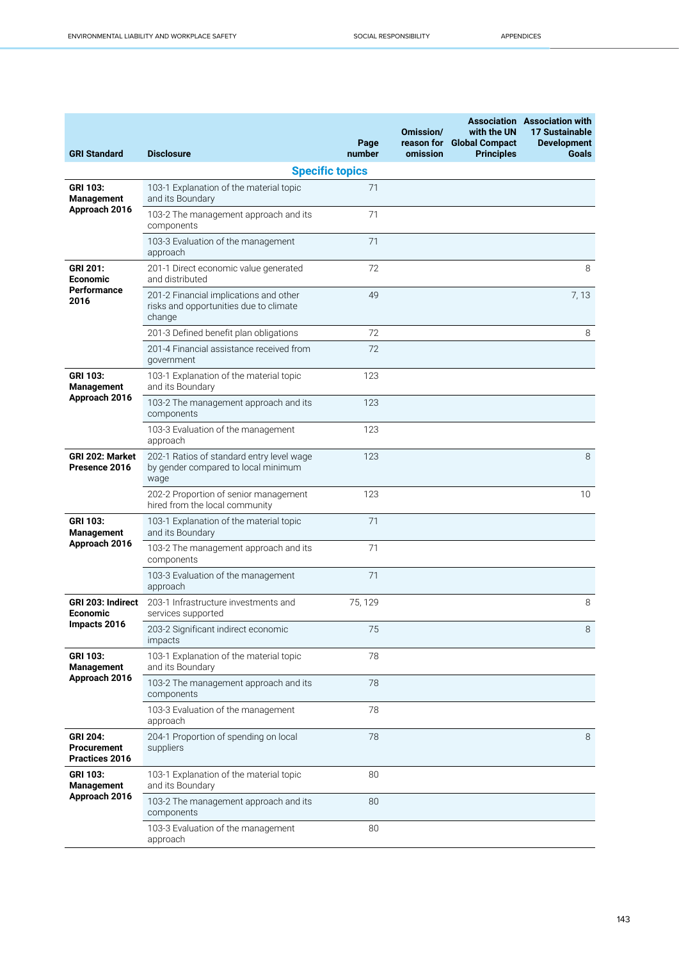| <b>GRI Standard</b>                              | <b>Disclosure</b>                                                                          | Page<br>number         | Omission/<br>reason for<br>omission | with the UN<br><b>Global Compact</b><br><b>Principles</b> | <b>Association Association with</b><br><b>17 Sustainable</b><br><b>Development</b><br><b>Goals</b> |
|--------------------------------------------------|--------------------------------------------------------------------------------------------|------------------------|-------------------------------------|-----------------------------------------------------------|----------------------------------------------------------------------------------------------------|
|                                                  |                                                                                            | <b>Specific topics</b> |                                     |                                                           |                                                                                                    |
| GRI 103:<br><b>Management</b><br>Approach 2016   | 103-1 Explanation of the material topic<br>and its Boundary                                | 71                     |                                     |                                                           |                                                                                                    |
|                                                  | 103-2 The management approach and its<br>components                                        | 71                     |                                     |                                                           |                                                                                                    |
|                                                  | 103-3 Evaluation of the management<br>approach                                             | 71                     |                                     |                                                           |                                                                                                    |
| GRI 201:<br>Economic                             | 201-1 Direct economic value generated<br>and distributed                                   | 72                     |                                     |                                                           | 8                                                                                                  |
| Performance<br>2016                              | 201-2 Financial implications and other<br>risks and opportunities due to climate<br>change | 49                     |                                     |                                                           | 7,13                                                                                               |
|                                                  | 201-3 Defined benefit plan obligations                                                     | 72                     |                                     |                                                           | 8                                                                                                  |
|                                                  | 201-4 Financial assistance received from<br>government                                     | 72                     |                                     |                                                           |                                                                                                    |
| GRI 103:<br><b>Management</b>                    | 103-1 Explanation of the material topic<br>and its Boundary                                | 123                    |                                     |                                                           |                                                                                                    |
| Approach 2016                                    | 103-2 The management approach and its<br>components                                        | 123                    |                                     |                                                           |                                                                                                    |
|                                                  | 103-3 Evaluation of the management<br>approach                                             | 123                    |                                     |                                                           |                                                                                                    |
| <b>GRI 202: Market</b><br>Presence 2016          | 202-1 Ratios of standard entry level wage<br>by gender compared to local minimum<br>wage   | 123                    |                                     |                                                           | 8                                                                                                  |
|                                                  | 202-2 Proportion of senior management<br>hired from the local community                    | 123                    |                                     |                                                           | 10                                                                                                 |
| <b>GRI 103:</b><br><b>Management</b>             | 103-1 Explanation of the material topic<br>and its Boundary                                | 71                     |                                     |                                                           |                                                                                                    |
| Approach 2016                                    | 103-2 The management approach and its<br>components                                        | 71                     |                                     |                                                           |                                                                                                    |
|                                                  | 103-3 Evaluation of the management<br>approach                                             | 71                     |                                     |                                                           |                                                                                                    |
| GRI 203: Indirect<br>Economic                    | 203-1 Infrastructure investments and<br>services supported                                 | 75, 129                |                                     |                                                           | 8                                                                                                  |
| Impacts 2016                                     | 203-2 Significant indirect economic<br>impacts                                             | 75                     |                                     |                                                           | 8                                                                                                  |
| <b>GRI 103:</b><br><b>Management</b>             | 103-1 Explanation of the material topic<br>and its Boundary                                | 78                     |                                     |                                                           |                                                                                                    |
| Approach 2016                                    | 103-2 The management approach and its<br>components                                        | 78                     |                                     |                                                           |                                                                                                    |
|                                                  | 103-3 Evaluation of the management<br>approach                                             | 78                     |                                     |                                                           |                                                                                                    |
| <b>GRI 204:</b><br>Procurement<br>Practices 2016 | 204-1 Proportion of spending on local<br>suppliers                                         | 78                     |                                     |                                                           | 8                                                                                                  |
| <b>GRI 103:</b><br><b>Management</b>             | 103-1 Explanation of the material topic<br>and its Boundary                                | 80                     |                                     |                                                           |                                                                                                    |
| Approach 2016                                    | 103-2 The management approach and its<br>components                                        | 80                     |                                     |                                                           |                                                                                                    |
|                                                  | 103-3 Evaluation of the management<br>approach                                             | 80                     |                                     |                                                           |                                                                                                    |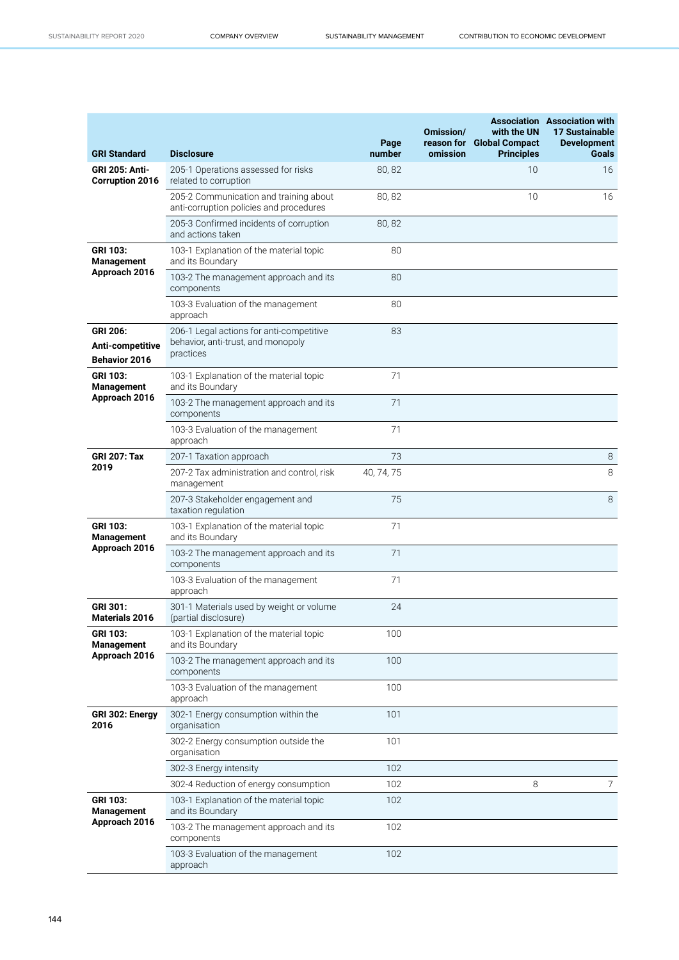| <b>GRI Standard</b>                                  | <b>Disclosure</b>                                                                           | Page<br>number | Omission/<br>omission | with the UN<br>reason for Global Compact<br><b>Principles</b> | <b>Association Association with</b><br>17 Sustainable<br><b>Development</b><br><b>Goals</b> |
|------------------------------------------------------|---------------------------------------------------------------------------------------------|----------------|-----------------------|---------------------------------------------------------------|---------------------------------------------------------------------------------------------|
| <b>GRI 205: Anti-</b><br><b>Corruption 2016</b>      | 205-1 Operations assessed for risks<br>related to corruption                                | 80,82          |                       | 10                                                            | 16                                                                                          |
|                                                      | 205-2 Communication and training about<br>anti-corruption policies and procedures           | 80, 82         |                       | 10                                                            | 16                                                                                          |
|                                                      | 205-3 Confirmed incidents of corruption<br>and actions taken                                | 80,82          |                       |                                                               |                                                                                             |
| <b>GRI 103:</b><br><b>Management</b>                 | 103-1 Explanation of the material topic<br>and its Boundary                                 | 80             |                       |                                                               |                                                                                             |
| Approach 2016                                        | 103-2 The management approach and its<br>components                                         | 80             |                       |                                                               |                                                                                             |
|                                                      | 103-3 Evaluation of the management<br>approach                                              | 80             |                       |                                                               |                                                                                             |
| GRI 206:<br>Anti-competitive<br><b>Behavior 2016</b> | 206-1 Legal actions for anti-competitive<br>behavior, anti-trust, and monopoly<br>practices | 83             |                       |                                                               |                                                                                             |
| <b>GRI 103:</b><br><b>Management</b>                 | 103-1 Explanation of the material topic<br>and its Boundary                                 | 71             |                       |                                                               |                                                                                             |
| Approach 2016                                        | 103-2 The management approach and its<br>components                                         | 71             |                       |                                                               |                                                                                             |
|                                                      | 103-3 Evaluation of the management<br>approach                                              | 71             |                       |                                                               |                                                                                             |
| <b>GRI 207: Tax</b><br>2019                          | 207-1 Taxation approach                                                                     | 73             |                       |                                                               | 8                                                                                           |
|                                                      | 207-2 Tax administration and control, risk<br>management                                    | 40, 74, 75     |                       |                                                               | 8                                                                                           |
|                                                      | 207-3 Stakeholder engagement and<br>taxation regulation                                     | 75             |                       |                                                               | 8                                                                                           |
| GRI 103:<br>Management                               | 103-1 Explanation of the material topic<br>and its Boundary                                 | 71             |                       |                                                               |                                                                                             |
| Approach 2016                                        | 103-2 The management approach and its<br>components                                         | 71             |                       |                                                               |                                                                                             |
|                                                      | 103-3 Evaluation of the management<br>approach                                              | 71             |                       |                                                               |                                                                                             |
| GRI 301:<br><b>Materials 2016</b>                    | 301-1 Materials used by weight or volume<br>(partial disclosure)                            | 24             |                       |                                                               |                                                                                             |
| <b>GRI 103:</b><br>Management                        | 103-1 Explanation of the material topic<br>and its Boundary                                 | 100            |                       |                                                               |                                                                                             |
| Approach 2016                                        | 103-2 The management approach and its<br>components                                         | 100            |                       |                                                               |                                                                                             |
|                                                      | 103-3 Evaluation of the management<br>approach                                              | 100            |                       |                                                               |                                                                                             |
| GRI 302: Energy<br>2016                              | 302-1 Energy consumption within the<br>organisation                                         | 101            |                       |                                                               |                                                                                             |
|                                                      | 302-2 Energy consumption outside the<br>organisation                                        | 101            |                       |                                                               |                                                                                             |
|                                                      | 302-3 Energy intensity                                                                      | 102            |                       |                                                               |                                                                                             |
|                                                      | 302-4 Reduction of energy consumption                                                       | 102            |                       | 8                                                             | 7                                                                                           |
| <b>GRI 103:</b><br><b>Management</b>                 | 103-1 Explanation of the material topic<br>and its Boundary                                 | 102            |                       |                                                               |                                                                                             |
| Approach 2016                                        | 103-2 The management approach and its<br>components                                         | 102            |                       |                                                               |                                                                                             |
|                                                      | 103-3 Evaluation of the management<br>approach                                              | 102            |                       |                                                               |                                                                                             |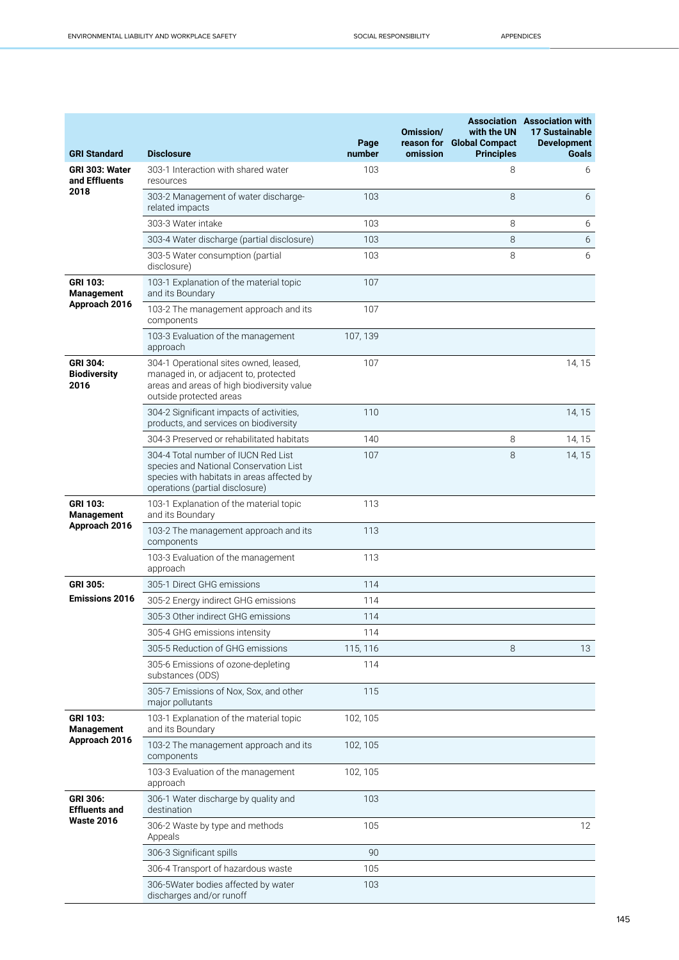| <b>GRI Standard</b>                     | <b>Disclosure</b>                                                                                                                                              | Page<br>number | Omission/<br>omission | with the UN<br>reason for Global Compact<br><b>Principles</b> | <b>Association Association with</b><br><b>17 Sustainable</b><br><b>Development</b><br><b>Goals</b> |
|-----------------------------------------|----------------------------------------------------------------------------------------------------------------------------------------------------------------|----------------|-----------------------|---------------------------------------------------------------|----------------------------------------------------------------------------------------------------|
| GRI 303: Water<br>and Effluents         | 303-1 Interaction with shared water<br>resources                                                                                                               | 103            |                       | 8                                                             | 6                                                                                                  |
| 2018                                    | 303-2 Management of water discharge-<br>related impacts                                                                                                        | 103            |                       | 8                                                             | 6                                                                                                  |
|                                         | 303-3 Water intake                                                                                                                                             | 103            |                       | 8                                                             | 6                                                                                                  |
|                                         | 303-4 Water discharge (partial disclosure)                                                                                                                     | 103            |                       | 8                                                             | 6                                                                                                  |
|                                         | 303-5 Water consumption (partial<br>disclosure)                                                                                                                | 103            |                       | 8                                                             | 6                                                                                                  |
| GRI 103:<br><b>Management</b>           | 103-1 Explanation of the material topic<br>and its Boundary                                                                                                    | 107            |                       |                                                               |                                                                                                    |
| Approach 2016                           | 103-2 The management approach and its<br>components                                                                                                            | 107            |                       |                                                               |                                                                                                    |
|                                         | 103-3 Evaluation of the management<br>approach                                                                                                                 | 107, 139       |                       |                                                               |                                                                                                    |
| GRI 304:<br><b>Biodiversity</b><br>2016 | 304-1 Operational sites owned, leased,<br>managed in, or adjacent to, protected<br>areas and areas of high biodiversity value<br>outside protected areas       | 107            |                       |                                                               | 14, 15                                                                                             |
|                                         | 304-2 Significant impacts of activities,<br>products, and services on biodiversity                                                                             | 110            |                       |                                                               | 14, 15                                                                                             |
|                                         | 304-3 Preserved or rehabilitated habitats                                                                                                                      | 140            |                       | 8                                                             | 14, 15                                                                                             |
|                                         | 304-4 Total number of IUCN Red List<br>species and National Conservation List<br>species with habitats in areas affected by<br>operations (partial disclosure) | 107            |                       | 8                                                             | 14, 15                                                                                             |
| <b>GRI 103:</b><br>Management           | 103-1 Explanation of the material topic<br>and its Boundary                                                                                                    | 113            |                       |                                                               |                                                                                                    |
| Approach 2016                           | 103-2 The management approach and its<br>components                                                                                                            | 113            |                       |                                                               |                                                                                                    |
|                                         | 103-3 Evaluation of the management<br>approach                                                                                                                 | 113            |                       |                                                               |                                                                                                    |
| <b>GRI 305:</b>                         | 305-1 Direct GHG emissions                                                                                                                                     | 114            |                       |                                                               |                                                                                                    |
| <b>Emissions 2016</b>                   | 305-2 Energy indirect GHG emissions                                                                                                                            | 114            |                       |                                                               |                                                                                                    |
|                                         | 305-3 Other indirect GHG emissions                                                                                                                             | 114            |                       |                                                               |                                                                                                    |
|                                         | 305-4 GHG emissions intensity                                                                                                                                  | 114            |                       |                                                               |                                                                                                    |
|                                         | 305-5 Reduction of GHG emissions                                                                                                                               | 115, 116       |                       | 8                                                             | 13                                                                                                 |
|                                         | 305-6 Emissions of ozone-depleting<br>substances (ODS)                                                                                                         | 114            |                       |                                                               |                                                                                                    |
|                                         | 305-7 Emissions of Nox, Sox, and other<br>major pollutants                                                                                                     | 115            |                       |                                                               |                                                                                                    |
| GRI 103:<br><b>Management</b>           | 103-1 Explanation of the material topic<br>and its Boundary                                                                                                    | 102, 105       |                       |                                                               |                                                                                                    |
| Approach 2016                           | 103-2 The management approach and its<br>components                                                                                                            | 102, 105       |                       |                                                               |                                                                                                    |
|                                         | 103-3 Evaluation of the management<br>approach                                                                                                                 | 102, 105       |                       |                                                               |                                                                                                    |
| <b>GRI 306:</b><br><b>Effluents and</b> | 306-1 Water discharge by quality and<br>destination                                                                                                            | 103            |                       |                                                               |                                                                                                    |
| <b>Waste 2016</b>                       | 306-2 Waste by type and methods<br>Appeals                                                                                                                     | 105            |                       |                                                               | 12                                                                                                 |
|                                         | 306-3 Significant spills                                                                                                                                       | 90             |                       |                                                               |                                                                                                    |
|                                         | 306-4 Transport of hazardous waste                                                                                                                             | 105            |                       |                                                               |                                                                                                    |
|                                         | 306-5Water bodies affected by water<br>discharges and/or runoff                                                                                                | 103            |                       |                                                               |                                                                                                    |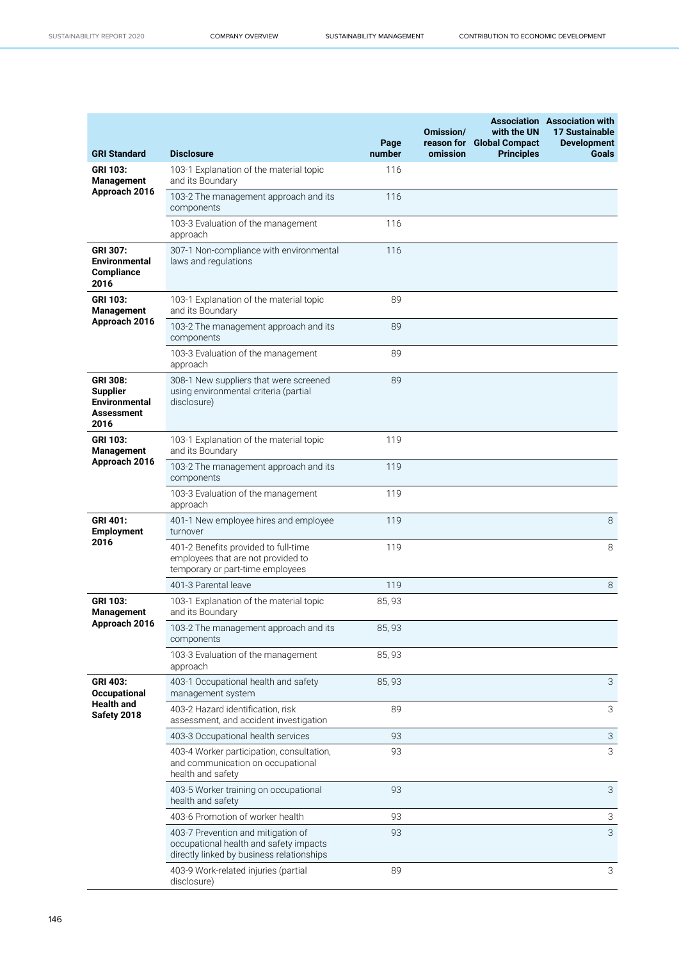| <b>GRI Standard</b>                                                                     | <b>Disclosure</b>                                                                                                         | Page<br>number | Omission/<br>reason for<br>omission | with the UN<br><b>Global Compact</b><br><b>Principles</b> | <b>Association</b> Association with<br><b>17 Sustainable</b><br><b>Development</b><br><b>Goals</b> |
|-----------------------------------------------------------------------------------------|---------------------------------------------------------------------------------------------------------------------------|----------------|-------------------------------------|-----------------------------------------------------------|----------------------------------------------------------------------------------------------------|
| <b>GRI 103:</b><br>Management                                                           | 103-1 Explanation of the material topic<br>and its Boundary                                                               | 116            |                                     |                                                           |                                                                                                    |
| Approach 2016                                                                           | 103-2 The management approach and its<br>components                                                                       | 116            |                                     |                                                           |                                                                                                    |
|                                                                                         | 103-3 Evaluation of the management<br>approach                                                                            | 116            |                                     |                                                           |                                                                                                    |
| <b>GRI 307:</b><br><b>Environmental</b><br><b>Compliance</b><br>2016                    | 307-1 Non-compliance with environmental<br>laws and regulations                                                           | 116            |                                     |                                                           |                                                                                                    |
| <b>GRI 103:</b><br>Management                                                           | 103-1 Explanation of the material topic<br>and its Boundary                                                               | 89             |                                     |                                                           |                                                                                                    |
| Approach 2016                                                                           | 103-2 The management approach and its<br>components                                                                       | 89             |                                     |                                                           |                                                                                                    |
|                                                                                         | 103-3 Evaluation of the management<br>approach                                                                            | 89             |                                     |                                                           |                                                                                                    |
| <b>GRI 308:</b><br><b>Supplier</b><br><b>Environmental</b><br><b>Assessment</b><br>2016 | 308-1 New suppliers that were screened<br>using environmental criteria (partial<br>disclosure)                            | 89             |                                     |                                                           |                                                                                                    |
| <b>GRI 103:</b><br><b>Management</b>                                                    | 103-1 Explanation of the material topic<br>and its Boundary                                                               | 119            |                                     |                                                           |                                                                                                    |
| Approach 2016                                                                           | 103-2 The management approach and its<br>components                                                                       | 119            |                                     |                                                           |                                                                                                    |
|                                                                                         | 103-3 Evaluation of the management<br>approach                                                                            | 119            |                                     |                                                           |                                                                                                    |
| <b>GRI 401:</b><br><b>Employment</b>                                                    | 401-1 New employee hires and employee<br>turnover                                                                         | 119            |                                     |                                                           | 8                                                                                                  |
| 2016                                                                                    | 401-2 Benefits provided to full-time<br>employees that are not provided to<br>temporary or part-time employees            | 119            |                                     |                                                           | 8                                                                                                  |
|                                                                                         | 401-3 Parental leave                                                                                                      | 119            |                                     |                                                           | 8                                                                                                  |
| GRI 103:<br>Management                                                                  | 103-1 Explanation of the material topic<br>and its Boundary                                                               | 85, 93         |                                     |                                                           |                                                                                                    |
| Approach 2016                                                                           | 103-2 The management approach and its<br>components                                                                       | 85, 93         |                                     |                                                           |                                                                                                    |
|                                                                                         | 103-3 Evaluation of the management<br>approach                                                                            | 85, 93         |                                     |                                                           |                                                                                                    |
| <b>GRI 403:</b><br><b>Occupational</b>                                                  | 403-1 Occupational health and safety<br>management system                                                                 | 85, 93         |                                     |                                                           | 3                                                                                                  |
| <b>Health and</b><br>Safety 2018                                                        | 403-2 Hazard identification, risk<br>assessment, and accident investigation                                               | 89             |                                     |                                                           | 3                                                                                                  |
|                                                                                         | 403-3 Occupational health services                                                                                        | 93             |                                     |                                                           | $\ensuremath{\mathsf{3}}$                                                                          |
|                                                                                         | 403-4 Worker participation, consultation,<br>and communication on occupational<br>health and safety                       | 93             |                                     |                                                           | 3                                                                                                  |
|                                                                                         | 403-5 Worker training on occupational<br>health and safety                                                                | 93             |                                     |                                                           | 3                                                                                                  |
|                                                                                         | 403-6 Promotion of worker health                                                                                          | 93             |                                     |                                                           | 3                                                                                                  |
|                                                                                         | 403-7 Prevention and mitigation of<br>occupational health and safety impacts<br>directly linked by business relationships | 93             |                                     |                                                           | 3                                                                                                  |
|                                                                                         | 403-9 Work-related injuries (partial<br>disclosure)                                                                       | 89             |                                     |                                                           | 3                                                                                                  |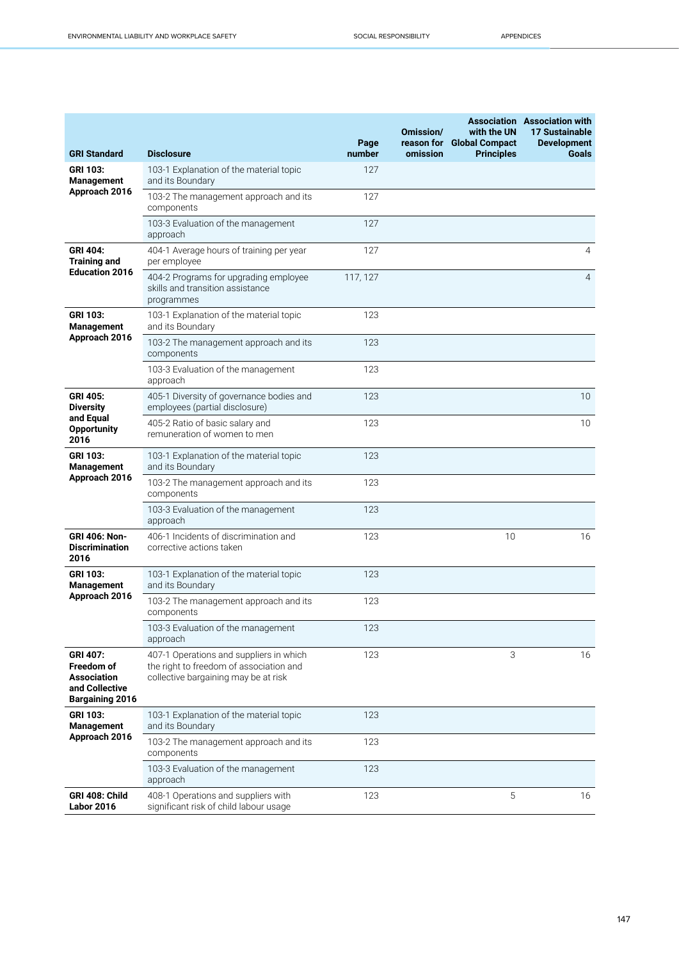| <b>GRI Standard</b>                                                                             | <b>Disclosure</b>                                                                                                          | Page<br>number | Omission/<br>omission | with the UN<br>reason for Global Compact<br><b>Principles</b> | <b>Association Association with</b><br><b>17 Sustainable</b><br><b>Development</b><br><b>Goals</b> |
|-------------------------------------------------------------------------------------------------|----------------------------------------------------------------------------------------------------------------------------|----------------|-----------------------|---------------------------------------------------------------|----------------------------------------------------------------------------------------------------|
| <b>GRI 103:</b><br><b>Management</b>                                                            | 103-1 Explanation of the material topic<br>and its Boundary                                                                | 127            |                       |                                                               |                                                                                                    |
| Approach 2016                                                                                   | 103-2 The management approach and its<br>components                                                                        | 127            |                       |                                                               |                                                                                                    |
|                                                                                                 | 103-3 Evaluation of the management<br>approach                                                                             | 127            |                       |                                                               |                                                                                                    |
| <b>GRI 404:</b><br><b>Training and</b><br><b>Education 2016</b>                                 | 404-1 Average hours of training per year<br>per employee                                                                   | 127            |                       |                                                               | 4                                                                                                  |
|                                                                                                 | 404-2 Programs for upgrading employee<br>skills and transition assistance<br>programmes                                    | 117, 127       |                       |                                                               | $\overline{4}$                                                                                     |
| <b>GRI 103:</b><br><b>Management</b>                                                            | 103-1 Explanation of the material topic<br>and its Boundary                                                                | 123            |                       |                                                               |                                                                                                    |
| Approach 2016                                                                                   | 103-2 The management approach and its<br>components                                                                        | 123            |                       |                                                               |                                                                                                    |
|                                                                                                 | 103-3 Evaluation of the management<br>approach                                                                             | 123            |                       |                                                               |                                                                                                    |
| <b>GRI 405:</b><br><b>Diversity</b><br>and Equal<br><b>Opportunity</b><br>2016                  | 405-1 Diversity of governance bodies and<br>employees (partial disclosure)                                                 | 123            |                       |                                                               | 10                                                                                                 |
|                                                                                                 | 405-2 Ratio of basic salary and<br>remuneration of women to men                                                            | 123            |                       |                                                               | 10                                                                                                 |
| <b>GRI 103:</b><br><b>Management</b><br>Approach 2016                                           | 103-1 Explanation of the material topic<br>and its Boundary                                                                | 123            |                       |                                                               |                                                                                                    |
|                                                                                                 | 103-2 The management approach and its<br>components                                                                        | 123            |                       |                                                               |                                                                                                    |
|                                                                                                 | 103-3 Evaluation of the management<br>approach                                                                             | 123            |                       |                                                               |                                                                                                    |
| <b>GRI 406: Non-</b><br><b>Discrimination</b><br>2016                                           | 406-1 Incidents of discrimination and<br>corrective actions taken                                                          | 123            |                       | 10                                                            | 16                                                                                                 |
| <b>GRI 103:</b><br><b>Management</b>                                                            | 103-1 Explanation of the material topic<br>and its Boundary                                                                | 123            |                       |                                                               |                                                                                                    |
| Approach 2016                                                                                   | 103-2 The management approach and its<br>components                                                                        | 123            |                       |                                                               |                                                                                                    |
|                                                                                                 | 103-3 Evaluation of the management<br>approach                                                                             | 123            |                       |                                                               |                                                                                                    |
| <b>GRI 407:</b><br>Freedom of<br><b>Association</b><br>and Collective<br><b>Bargaining 2016</b> | 407-1 Operations and suppliers in which<br>the right to freedom of association and<br>collective bargaining may be at risk | 123            |                       | 3                                                             | 16                                                                                                 |
| <b>GRI 103:</b><br><b>Management</b>                                                            | 103-1 Explanation of the material topic<br>and its Boundary                                                                | 123            |                       |                                                               |                                                                                                    |
| Approach 2016                                                                                   | 103-2 The management approach and its<br>components                                                                        | 123            |                       |                                                               |                                                                                                    |
|                                                                                                 | 103-3 Evaluation of the management<br>approach                                                                             | 123            |                       |                                                               |                                                                                                    |
| GRI 408: Child<br><b>Labor 2016</b>                                                             | 408-1 Operations and suppliers with<br>significant risk of child labour usage                                              | 123            |                       | 5                                                             | 16                                                                                                 |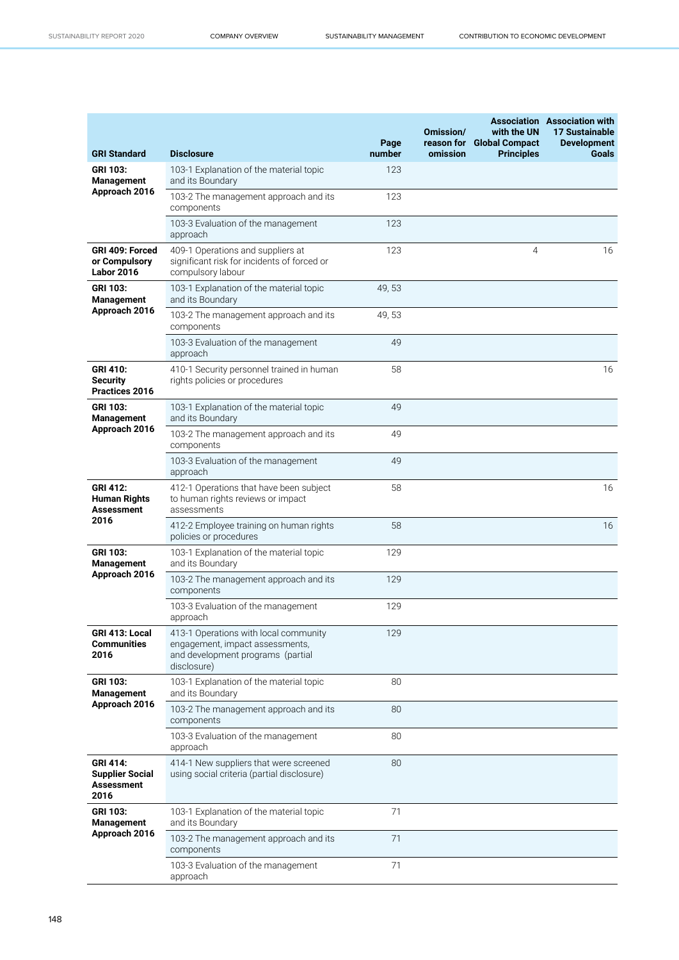| <b>GRI Standard</b>                                                    | <b>Disclosure</b>                                                                                                            | Page<br>number | Omission/<br>reason for<br>omission | with the UN<br><b>Global Compact</b><br><b>Principles</b> | <b>Association</b> Association with<br>17 Sustainable<br><b>Development</b><br><b>Goals</b> |
|------------------------------------------------------------------------|------------------------------------------------------------------------------------------------------------------------------|----------------|-------------------------------------|-----------------------------------------------------------|---------------------------------------------------------------------------------------------|
| GRI 103:<br><b>Management</b>                                          | 103-1 Explanation of the material topic<br>and its Boundary                                                                  | 123            |                                     |                                                           |                                                                                             |
| Approach 2016                                                          | 103-2 The management approach and its<br>components                                                                          | 123            |                                     |                                                           |                                                                                             |
|                                                                        | 103-3 Evaluation of the management<br>approach                                                                               | 123            |                                     |                                                           |                                                                                             |
| GRI 409: Forced<br>or Compulsory<br><b>Labor 2016</b>                  | 409-1 Operations and suppliers at<br>significant risk for incidents of forced or<br>compulsory labour                        | 123            |                                     | $\overline{4}$                                            | 16                                                                                          |
| <b>GRI 103:</b><br><b>Management</b>                                   | 103-1 Explanation of the material topic<br>and its Boundary                                                                  | 49,53          |                                     |                                                           |                                                                                             |
| Approach 2016                                                          | 103-2 The management approach and its<br>components                                                                          | 49,53          |                                     |                                                           |                                                                                             |
|                                                                        | 103-3 Evaluation of the management<br>approach                                                                               | 49             |                                     |                                                           |                                                                                             |
| <b>GRI 410:</b><br><b>Security</b><br>Practices 2016                   | 410-1 Security personnel trained in human<br>rights policies or procedures                                                   | 58             |                                     |                                                           | 16                                                                                          |
| GRI 103:<br><b>Management</b>                                          | 103-1 Explanation of the material topic<br>and its Boundary                                                                  | 49             |                                     |                                                           |                                                                                             |
| Approach 2016                                                          | 103-2 The management approach and its<br>components                                                                          | 49             |                                     |                                                           |                                                                                             |
|                                                                        | 103-3 Evaluation of the management<br>approach                                                                               | 49             |                                     |                                                           |                                                                                             |
| <b>GRI 412:</b><br><b>Human Rights</b><br><b>Assessment</b>            | 412-1 Operations that have been subject<br>to human rights reviews or impact<br>assessments                                  | 58             |                                     |                                                           | 16                                                                                          |
| 2016                                                                   | 412-2 Employee training on human rights<br>policies or procedures                                                            | 58             |                                     |                                                           | 16                                                                                          |
| <b>GRI 103:</b><br>Management                                          | 103-1 Explanation of the material topic<br>and its Boundary                                                                  | 129            |                                     |                                                           |                                                                                             |
| Approach 2016                                                          | 103-2 The management approach and its<br>components                                                                          | 129            |                                     |                                                           |                                                                                             |
|                                                                        | 103-3 Evaluation of the management<br>approach                                                                               | 129            |                                     |                                                           |                                                                                             |
| GRI 413: Local<br><b>Communities</b><br>2016                           | 413-1 Operations with local community<br>engagement, impact assessments,<br>and development programs (partial<br>disclosure) | 129            |                                     |                                                           |                                                                                             |
| <b>GRI 103:</b><br><b>Management</b>                                   | 103-1 Explanation of the material topic<br>and its Boundary                                                                  | 80             |                                     |                                                           |                                                                                             |
| Approach 2016                                                          | 103-2 The management approach and its<br>components                                                                          | 80             |                                     |                                                           |                                                                                             |
|                                                                        | 103-3 Evaluation of the management<br>approach                                                                               | 80             |                                     |                                                           |                                                                                             |
| <b>GRI 414:</b><br><b>Supplier Social</b><br><b>Assessment</b><br>2016 | 414-1 New suppliers that were screened<br>using social criteria (partial disclosure)                                         | 80             |                                     |                                                           |                                                                                             |
| <b>GRI 103:</b><br><b>Management</b>                                   | 103-1 Explanation of the material topic<br>and its Boundary                                                                  | 71             |                                     |                                                           |                                                                                             |
| Approach 2016                                                          | 103-2 The management approach and its<br>components                                                                          | 71             |                                     |                                                           |                                                                                             |
|                                                                        | 103-3 Evaluation of the management<br>approach                                                                               | 71             |                                     |                                                           |                                                                                             |